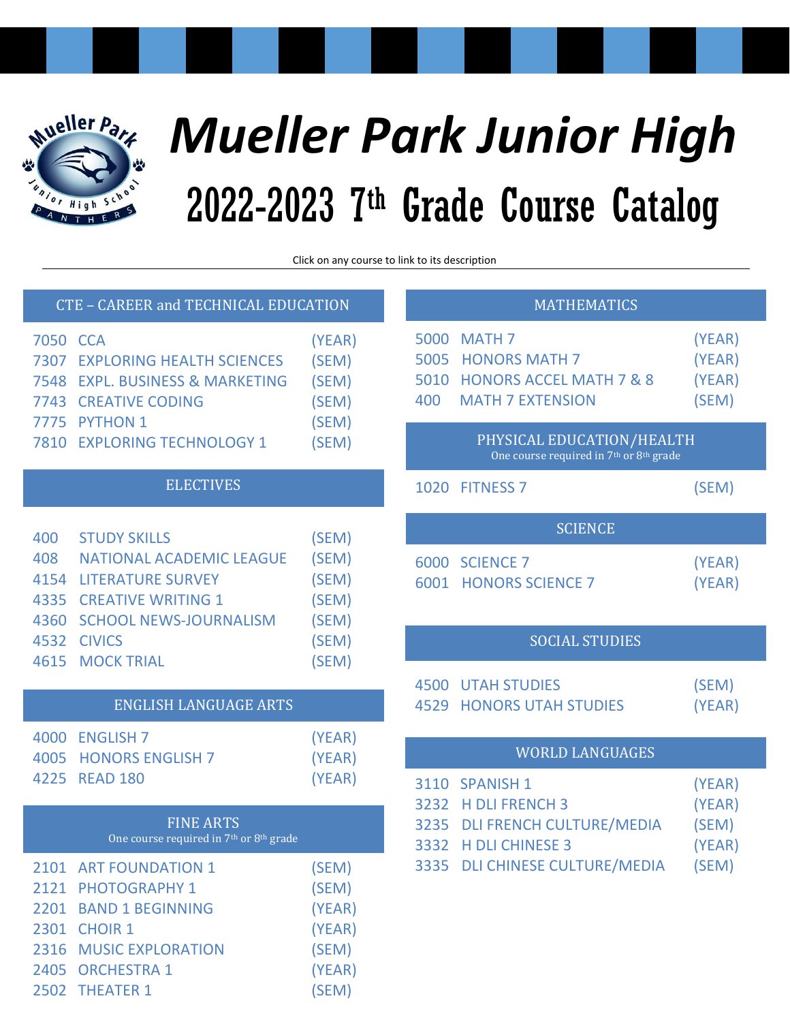

# *Mueller Park Junior High* 2022-2023 7 th Grade Course Catalog

Click on any course to link to it

## <span id="page-0-0"></span>CTE – [CAREER and TECHNICAL EDUCATION](#page-1-0)

| 7050 CCA |                                       | (YEAR) |
|----------|---------------------------------------|--------|
|          | <b>7307 EXPLORING HEALTH SCIENCES</b> | (SEM)  |
|          | 7548 EXPL. BUSINESS & MARKETING       | (SEM)  |
|          | <b>7743 CREATIVE CODING</b>           | (SEM)  |
|          | 7775 PYTHON 1                         | (SEM)  |
|          | 7810 EXPLORING TECHNOLOGY 1           | (SEM)  |

# [ELECTIVES](#page-2-0)

| 400 | <b>STUDY SKILLS</b>           | (SEM) |
|-----|-------------------------------|-------|
| 408 | NATIONAL ACADEMIC LEAGUE      | (SEM) |
|     | <b>4154 LITERATURE SURVEY</b> | (SEM) |
|     | 4335 CREATIVE WRITING 1       | (SEM) |
|     | 4360 SCHOOL NEWS-JOURNALISM   | (SEM) |
|     | 4532 CIVICS                   | (SEM) |
|     | <b>4615 MOCK TRIAL</b>        | (SEM) |

# [ENGLISH LANGUAGE ARTS](#page-2-1)

| 4000 ENGLISH 7        | (YEAR) |
|-----------------------|--------|
| 4005 HONORS ENGLISH 7 | (YEAR) |
| 4225 READ 180         | (YEAR) |

| <b>FINE ARTS</b><br>One course required in 7 <sup>th</sup> or 8 <sup>th</sup> grade |                        |        |  |  |
|-------------------------------------------------------------------------------------|------------------------|--------|--|--|
|                                                                                     | 2101 ART FOUNDATION 1  | (SEM)  |  |  |
|                                                                                     | 2121 PHOTOGRAPHY 1     | (SEM)  |  |  |
|                                                                                     | 2201 BAND 1 BEGINNING  | (YEAR) |  |  |
|                                                                                     | 2301 CHOIR 1           | (YEAR) |  |  |
|                                                                                     | 2316 MUSIC EXPLORATION | (SEM)  |  |  |
|                                                                                     | 2405 ORCHESTRA 1       | (YEAR) |  |  |
|                                                                                     | 2502 THEATER 1         | (SEM)  |  |  |

| to its description                                                                           |                                                                                                                                      |                                              |  |  |  |
|----------------------------------------------------------------------------------------------|--------------------------------------------------------------------------------------------------------------------------------------|----------------------------------------------|--|--|--|
| <b>MATHEMATICS</b>                                                                           |                                                                                                                                      |                                              |  |  |  |
| 400                                                                                          | 5000 MATH 7<br>5005 HONORS MATH 7<br>5010 HONORS ACCEL MATH 7 & 8<br><b>MATH 7 EXTENSION</b>                                         | (YEAR)<br>(YEAR)<br>(YEAR)<br>(SEM)          |  |  |  |
| PHYSICAL EDUCATION/HEALTH<br>One course required in 7 <sup>th</sup> or 8 <sup>th</sup> grade |                                                                                                                                      |                                              |  |  |  |
|                                                                                              | 1020 FITNESS 7                                                                                                                       | (SEM)                                        |  |  |  |
|                                                                                              | <b>SCIENCE</b>                                                                                                                       |                                              |  |  |  |
|                                                                                              | 6000 SCIENCE 7<br><b>6001 HONORS SCIENCE 7</b>                                                                                       | (YEAR)<br>(YEAR)                             |  |  |  |
| <b>SOCIAL STUDIES</b>                                                                        |                                                                                                                                      |                                              |  |  |  |
|                                                                                              | <b>4500 UTAH STUDIES</b><br><b>4529 HONORS UTAH STUDIES</b>                                                                          | (SEM)<br>(YEAR)                              |  |  |  |
| <b>WORLD LANGUAGES</b>                                                                       |                                                                                                                                      |                                              |  |  |  |
| 3332<br>3335                                                                                 | 3110 SPANISH 1<br>3232 H DLI FRENCH 3<br>3235 DLI FRENCH CULTURE/MEDIA<br><b>H DLI CHINESE 3</b><br><b>DLI CHINESE CULTURE/MEDIA</b> | (YEAR)<br>(YEAR)<br>(SEM)<br>(YEAR)<br>(SEM) |  |  |  |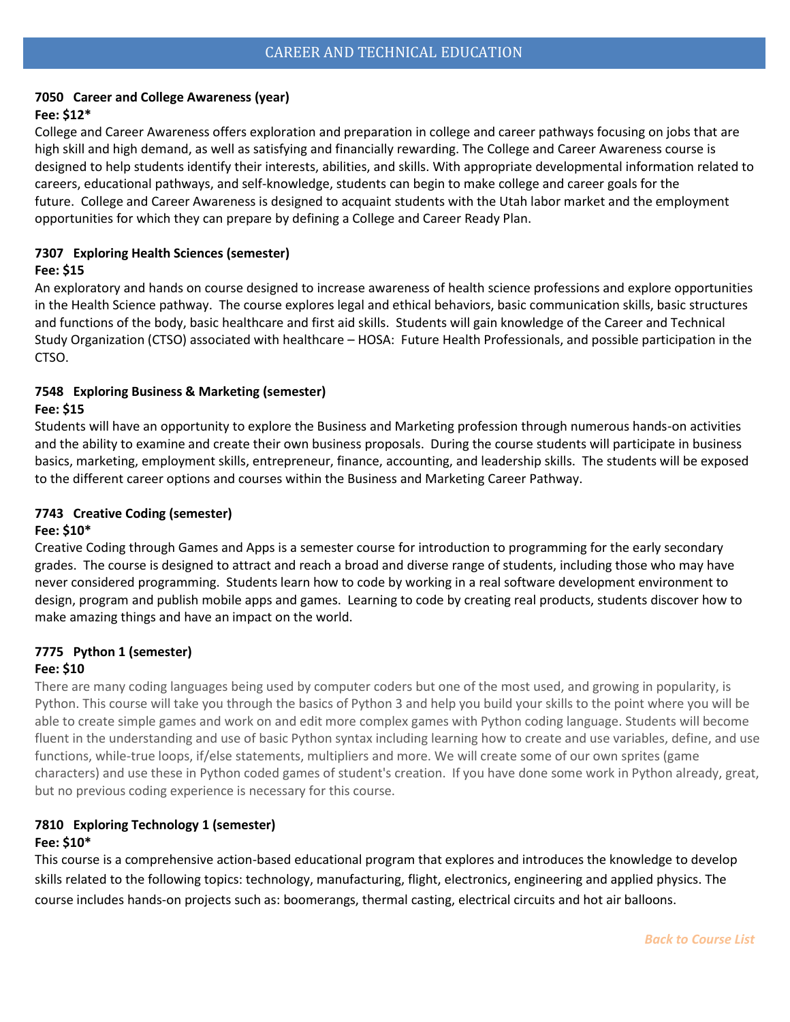## <span id="page-1-1"></span><span id="page-1-0"></span>**7050 Career and College Awareness (year)**

#### **Fee: \$12\***

College and Career Awareness offers exploration and preparation in college and career pathways focusing on jobs that are high skill and high demand, as well as satisfying and financially rewarding. The College and Career Awareness course is designed to help students identify their interests, abilities, and skills. With appropriate developmental information related to careers, educational pathways, and self-knowledge, students can begin to make college and career goals for the future. College and Career Awareness is designed to acquaint students with the Utah labor market and the employment opportunities for which they can prepare by defining a College and Career Ready Plan.

## **7307 Exploring Health Sciences (semester)**

#### **Fee: \$15**

An exploratory and hands on course designed to increase awareness of health science professions and explore opportunities in the Health Science pathway.  The course explores legal and ethical behaviors, basic communication skills, basic structures and functions of the body, basic healthcare and first aid skills.  Students will gain knowledge of the Career and Technical Study Organization (CTSO) associated with healthcare – HOSA:  Future Health Professionals, and possible participation in the CTSO. 

#### **7548 Exploring Business & Marketing (semester) Fee: \$15**

Students will have an opportunity to explore the Business and Marketing profession through numerous hands-on activities and the ability to examine and create their own business proposals. During the course students will participate in business basics, marketing, employment skills, entrepreneur, finance, accounting, and leadership skills. The students will be exposed to the different career options and courses within the Business and Marketing Career Pathway.

## **7743 Creative Coding (semester)**

## **Fee: \$10\***

Creative Coding through Games and Apps is a semester course for introduction to programming for the early secondary grades. The course is designed to attract and reach a broad and diverse range of students, including those who may have never considered programming. Students learn how to code by working in a real software development environment to design, program and publish mobile apps and games. Learning to code by creating real products, students discover how to make amazing things and have an impact on the world.

## **7775 Python 1 (semester)**

## **Fee: \$10**

There are many coding languages being used by computer coders but one of the most used, and growing in popularity, is Python. This course will take you through the basics of Python 3 and help you build your skills to the point where you will be able to create simple games and work on and edit more complex games with Python coding language. Students will become fluent in the understanding and use of basic Python syntax including learning how to create and use variables, define, and use functions, while-true loops, if/else statements, multipliers and more. We will create some of our own sprites (game characters) and use these in Python coded games of student's creation. If you have done some work in Python already, great, but no previous coding experience is necessary for this course.

#### **7810 Exploring Technology 1 (semester) Fee: \$10\***

This course is a comprehensive action-based educational program that explores and introduces the knowledge to develop skills related to the following topics: technology, manufacturing, flight, electronics, engineering and applied physics. The course includes hands-on projects such as: boomerangs, thermal casting, electrical circuits and hot air balloons.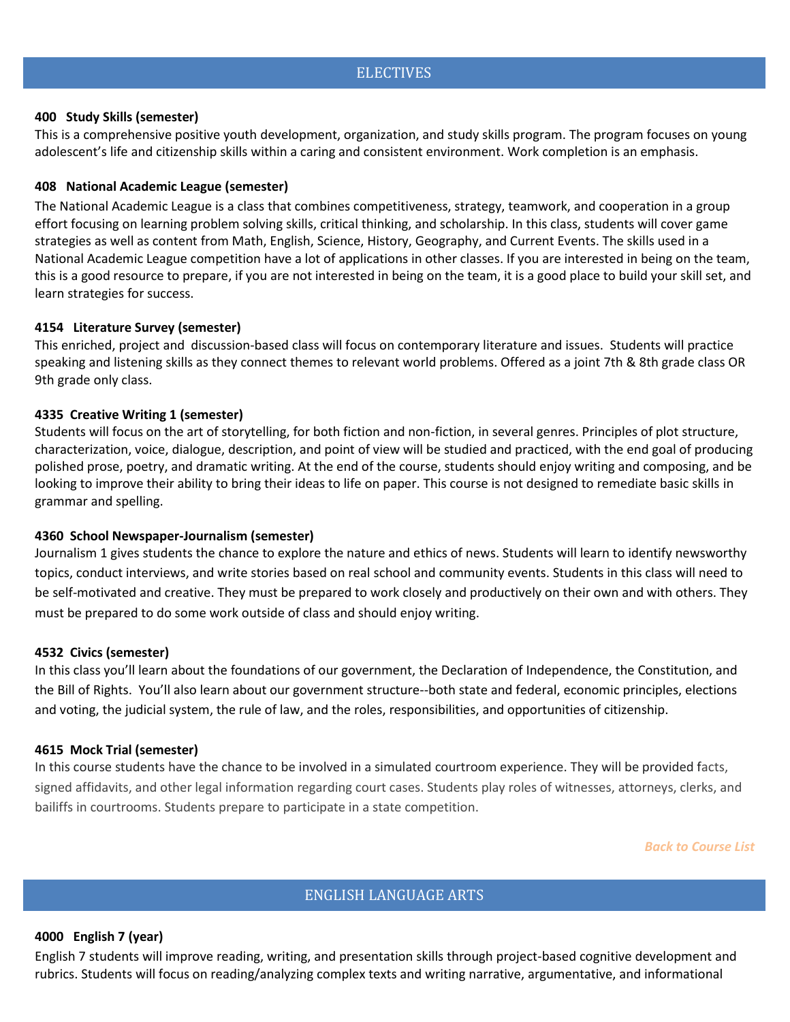## **ELECTIVES**

#### <span id="page-2-0"></span>**400 Study Skills (semester)**

This is a comprehensive positive youth development, organization, and study skills program. The program focuses on young adolescent's life and citizenship skills within a caring and consistent environment. Work completion is an emphasis.

#### **408 National Academic League (semester)**

The National Academic League is a class that combines competitiveness, strategy, teamwork, and cooperation in a group effort focusing on learning problem solving skills, critical thinking, and scholarship. In this class, students will cover game strategies as well as content from Math, English, Science, History, Geography, and Current Events. The skills used in a National Academic League competition have a lot of applications in other classes. If you are interested in being on the team, this is a good resource to prepare, if you are not interested in being on the team, it is a good place to build your skill set, and learn strategies for success.

#### **4154 Literature Survey (semester)**

This enriched, project and discussion-based class will focus on contemporary literature and issues. Students will practice speaking and listening skills as they connect themes to relevant world problems. Offered as a joint 7th & 8th grade class OR 9th grade only class.

## **4335 Creative Writing 1 (semester)**

Students will focus on the art of storytelling, for both fiction and non-fiction, in several genres. Principles of plot structure, characterization, voice, dialogue, description, and point of view will be studied and practiced, with the end goal of producing polished prose, poetry, and dramatic writing. At the end of the course, students should enjoy writing and composing, and be looking to improve their ability to bring their ideas to life on paper. This course is not designed to remediate basic skills in grammar and spelling.

#### **4360 School Newspaper-Journalism (semester)**

Journalism 1 gives students the chance to explore the nature and ethics of news. Students will learn to identify newsworthy topics, conduct interviews, and write stories based on real school and community events. Students in this class will need to be self-motivated and creative. They must be prepared to work closely and productively on their own and with others. They must be prepared to do some work outside of class and should enjoy writing.

#### **4532 Civics (semester)**

In this class you'll learn about the foundations of our government, the Declaration of Independence, the Constitution, and the Bill of Rights. You'll also learn about our government structure--both state and federal, economic principles, elections and voting, the judicial system, the rule of law, and the roles, responsibilities, and opportunities of citizenship.

#### **4615 Mock Trial (semester)**

In this course students have the chance to be involved in a simulated courtroom experience. They will be provided facts, signed affidavits, and other legal information regarding court cases. Students play roles of witnesses, attorneys, clerks, and bailiffs in courtrooms. Students prepare to participate in a state competition.

*[Back to Course List](#page-0-0)*

## ENGLISH LANGUAGE ARTS

#### <span id="page-2-2"></span><span id="page-2-1"></span>**4000 English 7 (year)**

English 7 students will improve reading, writing, and presentation skills through project-based cognitive development and rubrics. Students will focus on reading/analyzing complex texts and writing narrative, argumentative, and informational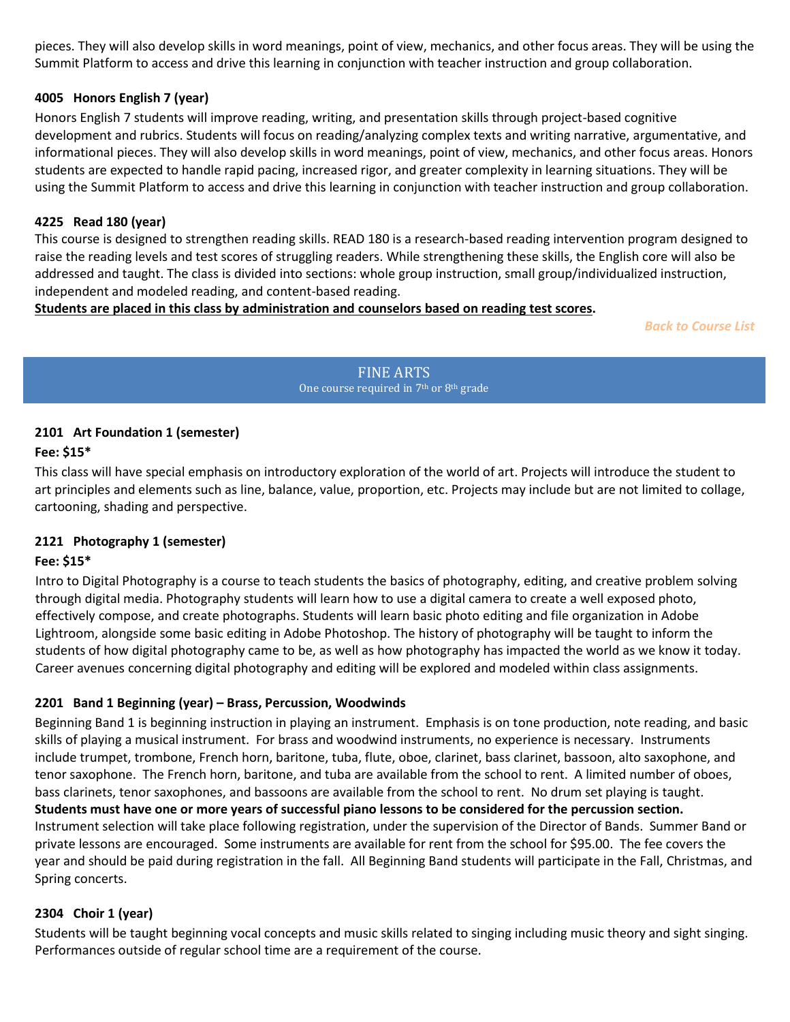pieces. They will also develop skills in word meanings, point of view, mechanics, and other focus areas. They will be using the Summit Platform to access and drive this learning in conjunction with teacher instruction and group collaboration.

## <span id="page-3-4"></span>**4005 Honors English 7 (year)**

Honors English 7 students will improve reading, writing, and presentation skills through project-based cognitive development and rubrics. Students will focus on reading/analyzing complex texts and writing narrative, argumentative, and informational pieces. They will also develop skills in word meanings, point of view, mechanics, and other focus areas. Honors students are expected to handle rapid pacing, increased rigor, and greater complexity in learning situations. They will be using the Summit Platform to access and drive this learning in conjunction with teacher instruction and group collaboration.

## **4225 Read 180 (year)**

This course is designed to strengthen reading skills. READ 180 is a research-based reading intervention program designed to raise the reading levels and test scores of struggling readers. While strengthening these skills, the English core will also be addressed and taught. The class is divided into sections: whole group instruction, small group/individualized instruction, independent and modeled reading, and content-based reading.

## **Students are placed in this class by administration and counselors based on reading test scores.**

<span id="page-3-0"></span>*[Back to Course List](#page-0-0)*

FINE ARTS One course required in 7<sup>th</sup> or 8<sup>th</sup> grade

## <span id="page-3-2"></span><span id="page-3-1"></span>**2101 Art Foundation 1 (semester)**

## **Fee: \$15\***

This class will have special emphasis on introductory exploration of the world of art. Projects will introduce the student to art principles and elements such as line, balance, value, proportion, etc. Projects may include but are not limited to collage, cartooning, shading and perspective.

## **2121 Photography 1 (semester)**

# **Fee: \$15\***

Intro to Digital Photography is a course to teach students the basics of photography, editing, and creative problem solving through digital media. Photography students will learn how to use a digital camera to create a well exposed photo, effectively compose, and create photographs. Students will learn basic photo editing and file organization in Adobe Lightroom, alongside some basic editing in Adobe Photoshop. The history of photography will be taught to inform the students of how digital photography came to be, as well as how photography has impacted the world as we know it today. Career avenues concerning digital photography and editing will be explored and modeled within class assignments.

## **2201 Band 1 Beginning (year) – Brass, Percussion, Woodwinds**

Beginning Band 1 is beginning instruction in playing an instrument. Emphasis is on tone production, note reading, and basic skills of playing a musical instrument. For brass and woodwind instruments, no experience is necessary. Instruments include trumpet, trombone, French horn, baritone, tuba, flute, oboe, clarinet, bass clarinet, bassoon, alto saxophone, and tenor saxophone. The French horn, baritone, and tuba are available from the school to rent. A limited number of oboes, bass clarinets, tenor saxophones, and bassoons are available from the school to rent. No drum set playing is taught. **Students must have one or more years of successful piano lessons to be considered for the percussion section.** Instrument selection will take place following registration, under the supervision of the Director of Bands. Summer Band or private lessons are encouraged. Some instruments are available for rent from the school for \$95.00. The fee covers the year and should be paid during registration in the fall. All Beginning Band students will participate in the Fall, Christmas, and Spring concerts.

## <span id="page-3-3"></span>**2304 Choir 1 (year)**

Students will be taught beginning vocal concepts and music skills related to singing including music theory and sight singing. Performances outside of regular school time are a requirement of the course.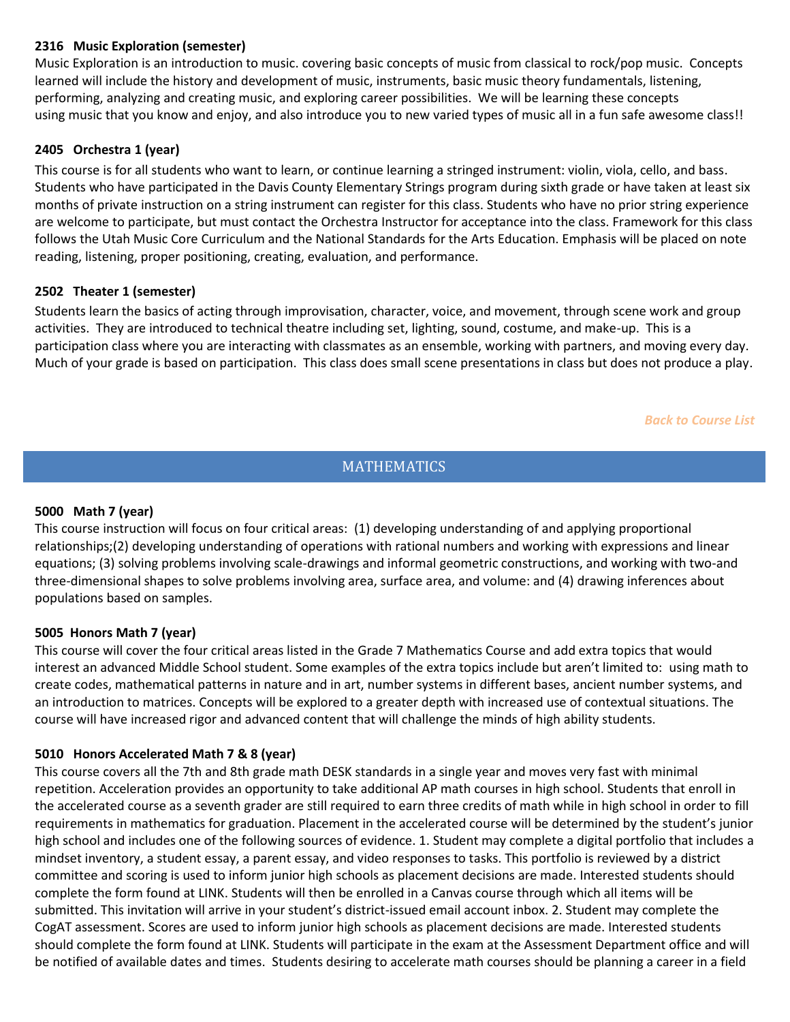## **2316 Music Exploration (semester)**

Music Exploration is an introduction to music. covering basic concepts of music from classical to rock/pop music. Concepts learned will include the history and development of music, instruments, basic music theory fundamentals, listening, performing, analyzing and creating music, and exploring career possibilities. We will be learning these concepts using music that you know and enjoy, and also introduce you to new varied types of music all in a fun safe awesome class!!

## <span id="page-4-0"></span>**2405 Orchestra 1 (year)**

<span id="page-4-1"></span>This course is for all students who want to learn, or continue learning a stringed instrument: violin, viola, cello, and bass. Students who have participated in the Davis County Elementary Strings program during sixth grade or have taken at least six months of private instruction on a string instrument can register for this class. Students who have no prior string experience are welcome to participate, but must contact the Orchestra Instructor for acceptance into the class. Framework for this class follows the Utah Music Core Curriculum and the National Standards for the Arts Education. Emphasis will be placed on note reading, listening, proper positioning, creating, evaluation, and performance.

## **2502 Theater 1 (semester)**

Students learn the basics of acting through improvisation, character, voice, and movement, through scene work and group activities. They are introduced to technical theatre including set, lighting, sound, costume, and make-up. This is a participation class where you are interacting with classmates as an ensemble, working with partners, and moving every day. Much of your grade is based on participation. This class does small scene presentations in class but does not produce a play.

*[Back to Course List](#page-0-0)*

# **MATHEMATICS**

## <span id="page-4-3"></span><span id="page-4-2"></span>**5000 Math 7 (year)**

This course instruction will focus on four critical areas: (1) developing understanding of and applying proportional relationships;(2) developing understanding of operations with rational numbers and working with expressions and linear equations; (3) solving problems involving scale-drawings and informal geometric constructions, and working with two-and three-dimensional shapes to solve problems involving area, surface area, and volume: and (4) drawing inferences about populations based on samples.

## <span id="page-4-5"></span><span id="page-4-4"></span>**5005 Honors Math 7 (year)**

This course will cover the four critical areas listed in the Grade 7 Mathematics Course and add extra topics that would interest an advanced Middle School student. Some examples of the extra topics include but aren't limited to: using math to create codes, mathematical patterns in nature and in art, number systems in different bases, ancient number systems, and an introduction to matrices. Concepts will be explored to a greater depth with increased use of contextual situations. The course will have increased rigor and advanced content that will challenge the minds of high ability students.

## **5010 Honors Accelerated Math 7 & 8 (year)**

This course covers all the 7th and 8th grade math DESK standards in a single year and moves very fast with minimal repetition. Acceleration provides an opportunity to take additional AP math courses in high school. Students that enroll in the accelerated course as a seventh grader are still required to earn three credits of math while in high school in order to fill requirements in mathematics for graduation. Placement in the accelerated course will be determined by the student's junior high school and includes one of the following sources of evidence. 1. Student may complete a digital portfolio that includes a mindset inventory, a student essay, a parent essay, and video responses to tasks. This portfolio is reviewed by a district committee and scoring is used to inform junior high schools as placement decisions are made. Interested students should complete the form found at LINK. Students will then be enrolled in a Canvas course through which all items will be submitted. This invitation will arrive in your student's district-issued email account inbox. 2. Student may complete the CogAT assessment. Scores are used to inform junior high schools as placement decisions are made. Interested students should complete the form found at LINK. Students will participate in the exam at the Assessment Department office and will be notified of available dates and times. Students desiring to accelerate math courses should be planning a career in a field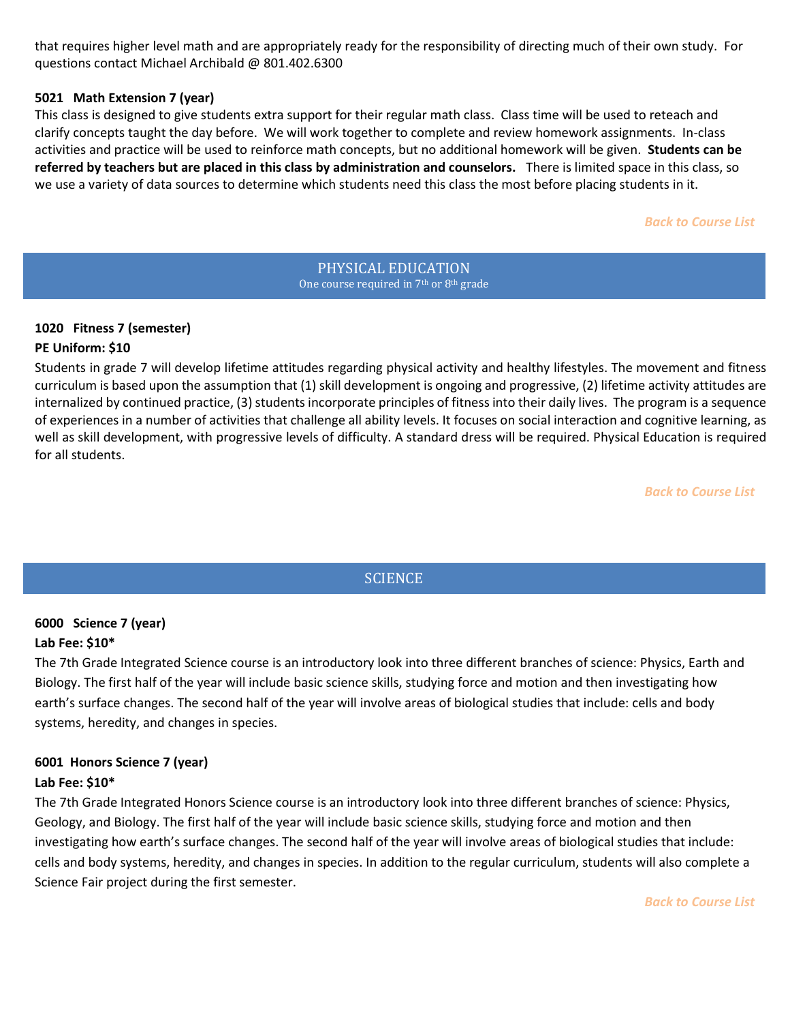that requires higher level math and are appropriately ready for the responsibility of directing much of their own study. For questions contact Michael Archibald @ 801.402.6300

#### **5021 Math Extension 7 (year)**

This class is designed to give students extra support for their regular math class. Class time will be used to reteach and clarify concepts taught the day before. We will work together to complete and review homework assignments. In-class activities and practice will be used to reinforce math concepts, but no additional homework will be given. **Students can be referred by teachers but are placed in this class by administration and counselors.** There is limited space in this class, so we use a variety of data sources to determine which students need this class the most before placing students in it.

#### *[Back to Course List](#page-0-0)*

PHYSICAL EDUCATION One course required in 7<sup>th</sup> or 8<sup>th</sup> grade

# <span id="page-5-1"></span><span id="page-5-0"></span>**1020 Fitness 7 (semester) PE Uniform: \$10**

Students in grade 7 will develop lifetime attitudes regarding physical activity and healthy lifestyles. The movement and fitness curriculum is based upon the assumption that (1) skill development is ongoing and progressive, (2) lifetime activity attitudes are internalized by continued practice, (3) students incorporate principles of fitness into their daily lives. The program is a sequence of experiences in a number of activities that challenge all ability levels. It focuses on social interaction and cognitive learning, as well as skill development, with progressive levels of difficulty. A standard dress will be required. Physical Education is required for all students.

*[Back to Course List](#page-0-0)*

# **SCIENCE**

# <span id="page-5-3"></span><span id="page-5-2"></span>**6000 Science 7 (year) Lab Fee: \$10\***

The 7th Grade Integrated Science course is an introductory look into three different branches of science: Physics, Earth and Biology. The first half of the year will include basic science skills, studying force and motion and then investigating how earth's surface changes. The second half of the year will involve areas of biological studies that include: cells and body systems, heredity, and changes in species.

## <span id="page-5-4"></span>**6001 Honors Science 7 (year) Lab Fee: \$10\***

The 7th Grade Integrated Honors Science course is an introductory look into three different branches of science: Physics, Geology, and Biology. The first half of the year will include basic science skills, studying force and motion and then investigating how earth's surface changes. The second half of the year will involve areas of biological studies that include: cells and body systems, heredity, and changes in species. In addition to the regular curriculum, students will also complete a Science Fair project during the first semester.

*[Back to Course List](#page-0-0)*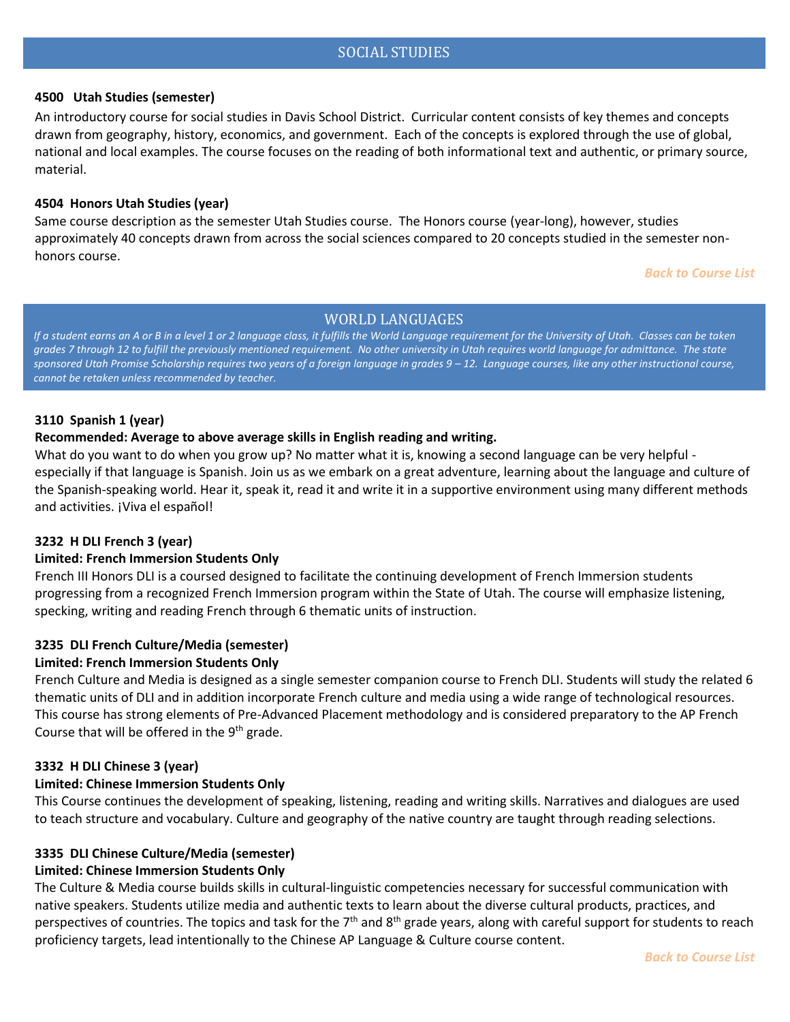## SOCIAL STUDIES

#### <span id="page-6-1"></span><span id="page-6-0"></span>**4500 Utah Studies (semester)**

An introductory course for social studies in Davis School District. Curricular content consists of key themes and concepts drawn from geography, history, economics, and government. Each of the concepts is explored through the use of global, national and local examples. The course focuses on the reading of both informational text and authentic, or primary source, material.

#### <span id="page-6-2"></span>**4504 Honors Utah Studies (year)**

Same course description as the semester Utah Studies course. The Honors course (year-long), however, studies approximately 40 concepts drawn from across the social sciences compared to 20 concepts studied in the semester nonhonors course.

*[Back to Course List](#page-0-0)*

#### WORLD LANGUAGES

<span id="page-6-3"></span>*If a student earns an A or B in a level 1 or 2 language class, it fulfills the World Language requirement for the University of Utah. Classes can be taken grades 7 through 12 to fulfill the previously mentioned requirement. No other university in Utah requires world language for admittance. The state*  sponsored Utah Promise Scholarship requires two years of a foreign language in grades  $9 - 12$ . Language courses, like any other instructional course, *cannot be retaken unless recommended by teacher.*

#### <span id="page-6-4"></span>**3110 Spanish 1 (year)**

#### **Recommended: Average to above average skills in English reading and writing.**

What do you want to do when you grow up? No matter what it is, knowing a second language can be very helpful especially if that language is Spanish. Join us as we embark on a great adventure, learning about the language and culture of the Spanish-speaking world. Hear it, speak it, read it and write it in a supportive environment using many different methods and activities. ¡Viva el español!

#### **3232 H DLI French 3 (year)**

#### **Limited: French Immersion Students Only**

French III Honors DLI is a coursed designed to facilitate the continuing development of French Immersion students progressing from a recognized French Immersion program within the State of Utah. The course will emphasize listening, specking, writing and reading French through 6 thematic units of instruction.

#### **3235 DLI French Culture/Media (semester)**

#### **Limited: French Immersion Students Only**

French Culture and Media is designed as a single semester companion course to French DLI. Students will study the related 6 thematic units of DLI and in addition incorporate French culture and media using a wide range of technological resources. This course has strong elements of Pre-Advanced Placement methodology and is considered preparatory to the AP French Course that will be offered in the  $9<sup>th</sup>$  grade.

#### **3332 H DLI Chinese 3 (year)**

#### **Limited: Chinese Immersion Students Only**

This Course continues the development of speaking, listening, reading and writing skills. Narratives and dialogues are used to teach structure and vocabulary. Culture and geography of the native country are taught through reading selections.

# **3335 DLI Chinese Culture/Media (semester)**

# **Limited: Chinese Immersion Students Only**

The Culture & Media course builds skills in cultural-linguistic competencies necessary for successful communication with native speakers. Students utilize media and authentic texts to learn about the diverse cultural products, practices, and perspectives of countries. The topics and task for the  $7<sup>th</sup>$  and  $8<sup>th</sup>$  grade years, along with careful support for students to reach proficiency targets, lead intentionally to the Chinese AP Language & Culture course content.